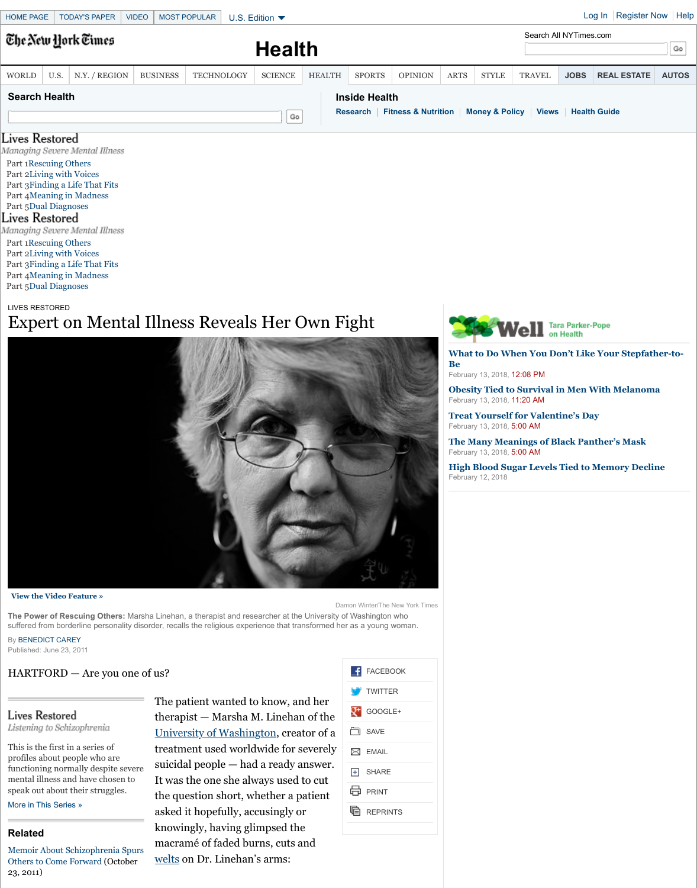### Expert on Mental Illness Reveals Her Own Fight



#### **Vie[w the Video Feature »](http://www.nytimes.com/2011/11/26/health/man-uses-his-schizophrenia-to-gather-clues-for-daily-living.html)**

Damon Winter/The New York Times

**The Power of Rescuing Others:** Marsha Linehan, a therapist and researcher at the University of Washington who suffered from borderline personality disorder, recalls the religious experience that transformed her as a young woman.

By BENEDICT CAREY Published: June 23, 2011

## HARTFORD — Are you one of us?

## Lives Restored

Listening to Schizophrenia

This is the first in a series of profiles about people who are functioning normally despite severe mental illness and have chosen to speak out about their struggles.

More in This Series »

### **Related**

Memoir About Schizophrenia Spurs Others to Come Forward (October 23, 2011)

The patient wanted to know, and her therapist — Marsha M. Linehan of the University of Washington, creator of a [treatment used worldwide for severely](http://www.nytimes.com/interactive/science/lives-restored-series.html#/marsha-linehan) suicidal people — had a ready answer. It was the one she always used to cut the question short, whether a patient asked it hopefully, accusingly or knowingly, having glimpsed the macramé of faded burns, cuts and welts on Dr. Linehan's arms:

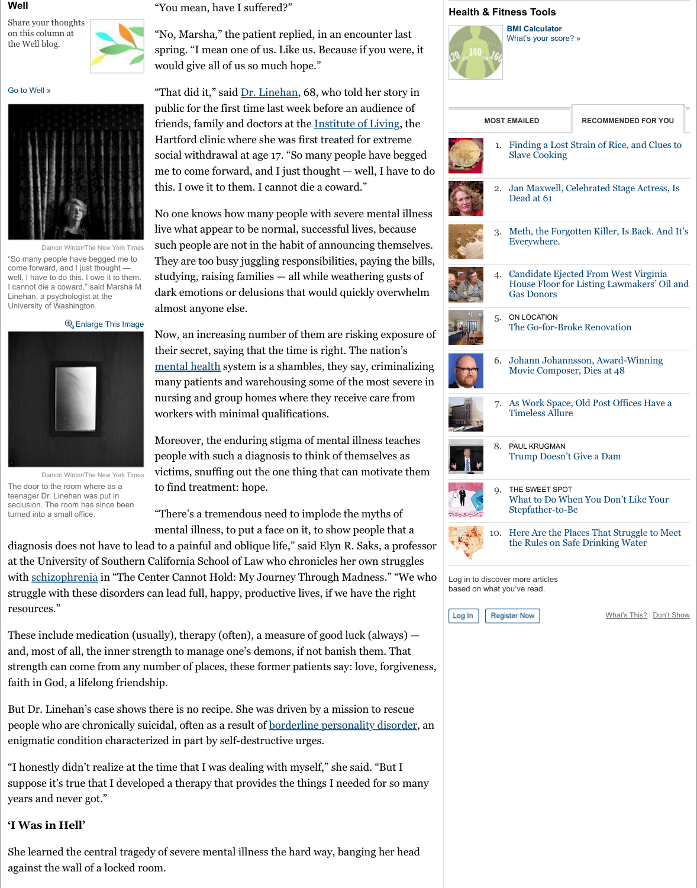#### **B** Enlarge This Image



Damon Winter/The New York Times

The door to the room where as a teenager Dr. Linehan was put in seclusion. The room has since been turned into a small office.

Now, an increasing number of them are risking exposure of their secret, saying that the time is right. The nation's mental health system is a shambles, they say, criminalizing many patients and warehousing some of the most severe in nursing and group homes where they receive care from workers with min[imal qualifica](http://www.depts.washington.edu/brtc)tions.

Moreover, the enduring stigma of [mental illness tea](http://www.harthosp.org/InstituteOfLiving/default.aspx)ches people with such a diagnosis to think of themselves as victims, snuffing out the one thing that can motivate them to find treatment: hope.

"There's a tremendous need to implode the myths of mental illness, to put a face on it, to show people that a

diagnosis does not have to lead to a painful and oblique life," said Elyn R. Saks, a professor at the University of Southern California School of Law who chronicles her own struggles with schizophrenia in "The Center Cannot Hold: My Journey Through Madness." "We who struggle with these disorders can lead full, happy, productive lives, if we have the right resources."

These include medication (usually), therapy (often), a measure of good luck (always) and, most o[f all, the inner str](javascript:pop_me_up2()ength to manage one's demons, if not banish them. That [strength can come from any n](javascript:pop_me_up2()umber of places, these former patients say: love, forgiveness, faith in God, a lifelong friends[hip.](http://topics.nytimes.com/top/news/health/diseasesconditionsandhealthtopics/mentalhealthanddisorders/index.html?inline=nyt-classifier)

But Dr. Linehan's case shows there is no recipe. She was driven by a mission to rescue people who are chronically suicidal, often as a result of borderline personality disorder, an enigmatic condition characterized in part by self-destructive urges.

"I honestly didn't realize at the time that I was dealing with myself," she said. "But I suppose it's true that I developed a therapy that provides the things I needed for so many years and never got."

# **'I Was in Hell'**

She learned the central tragedy of severe mental illness the hard way, banging her head against the wall of a locked room.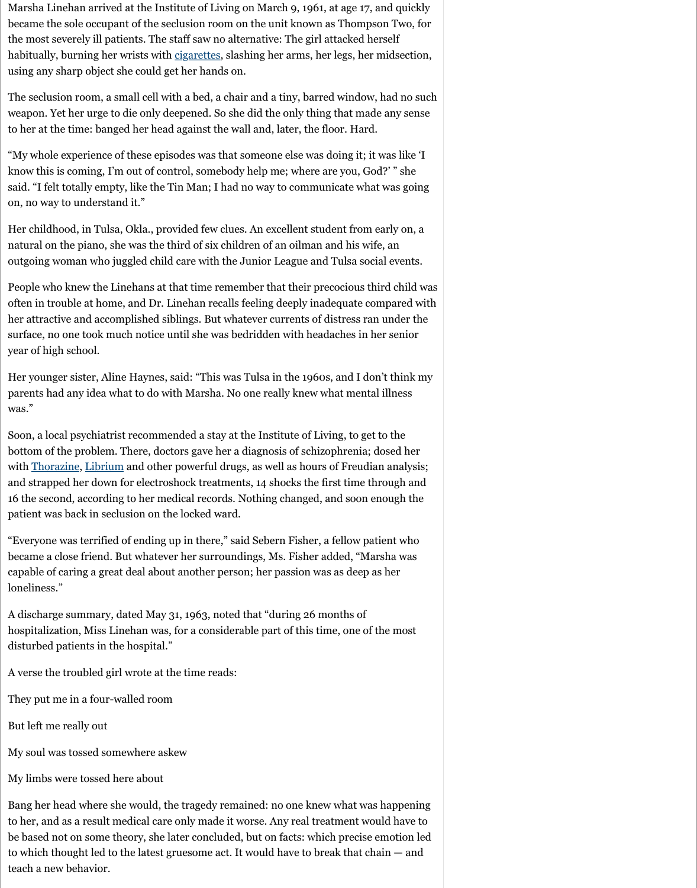her attractive and accomplished siblings. But whatever currents of distress ran under the surface, no one took much notice until she was bedridden with headaches in her senior year of high school.

Her younger sister, Aline Haynes, s[aid: "This](http://health.nytimes.com/health/guides/specialtopic/smoking-tips-on-how-to-quit/overview.html?inline=nyt-classifier) was Tulsa in the 1960s, and I don't think my parents had any idea what to do with Marsha. No one really knew what mental illness was."

Soon, a local psychiatrist recommended a stay at the Institute of Living, to get to the bottom of the problem. There, doctors gave her a diagnosis of schizophrenia; dosed her with Thorazine, Librium and other powerful drugs, as well as hours of Freudian analysis; and strapped her down for electroshock treatments, 14 shocks the first time through and 16 the second, according to her medical records. Nothing changed, and soon enough the patient was back in seclusion on the locked ward.

"Everyone was terrified of ending up in there," said Sebern Fisher, a fellow patient who became a close friend. But whatever her surroundings, Ms. Fisher added, "Marsha was capable of caring a great deal about another person; her passion was as deep as her loneliness."

A discharge summary, dated May 31, 1963, noted that "during 26 months of hospitalization, Miss Linehan was, for a considerable part of this time, one of the most disturbed patients in the hospital."

A verse the troubled girl wrote at the time reads:

They put me in a four-walled room

But left me really out

My soul was tossed somewhere askew

My l[imbs were](http://www.ncbi.nlm.nih.gov/pubmedhealth/PMH0000553/) t[ossed he](http://www.ncbi.nlm.nih.gov/pubmedhealth/PMH0000568/)re about

Bang her head where she would, the tragedy remained: no one knew what was happening to her, and as a result medical care only made it worse. Any real treatment would have to be based not on some theory, she later concluded, but on facts: which precise emotion led to which thought led to the latest gruesome act. It would have to break that chain — and teach a new behavior.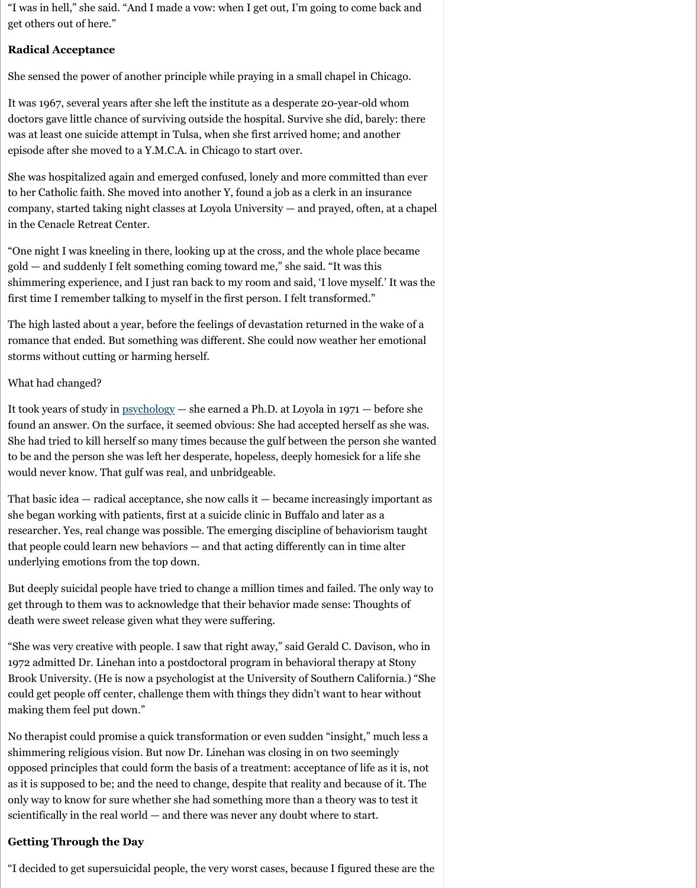The high lasted about a year, before the feelings of devastation returned in the wake of a romance that ended. But something was different. She could now weather her emotional storms without cutting or harming herself.

# What had changed?

It took years of study in psychology — she earned a Ph.D. at Loyola in 1971 — before she found an answer. On the surface, it seemed obvious: She had accepted herself as she was. She had tried to kill herself so many times because the gulf between the person she wanted to be and the person she was left her desperate, hopeless, deeply homesick for a life she would never know. That gulf was real, and unbridgeable.

That basic idea  $-$  radical acceptance, she now calls it  $-$  became increasingly important as she began working with patients, first at a suicide clinic in Buffalo and later as a researcher. Yes, real change was possible. The emerging discipline of behaviorism taught that people could learn new behaviors — and that acting differently can in time alter underlying emotions from the top down.

But deeply suicidal people have tried to change a million times and failed. The only way to get through to them was to acknowledge that their behavior made sense: Thoughts of death were sweet release given what they were suffering.

"She was very creative with people. I saw that right away," said Gerald C. Davison, who in 1972 admitted Dr. Linehan into a postdoctoral program in behavioral therapy at Stony Brook University. (He is now a psychologist at the University of Southern California.) "She could get people off center, challenge them with things they didn't want to hear without making them feel put down."

No therapist could pro[mise a quick](http://topics.nytimes.com/top/news/health/diseasesconditionsandhealthtopics/psychology_and_psychologists/index.html?inline=nyt-classifier) transformation or even sudden "insight," much less a shimmering religious vision. But now Dr. Linehan was closing in on two seemingly opposed principles that could form the basis of a treatment: acceptance of life as it is, not as it is supposed to be; and the need to change, despite that reality and because of it. The only way to know for sure whether she had something more than a theory was to test it scientifically in the real world — and there was never any doubt where to start.

# **Getting Through the Day**

"I decided to get supersuicidal people, the very worst cases, because I figured these are the